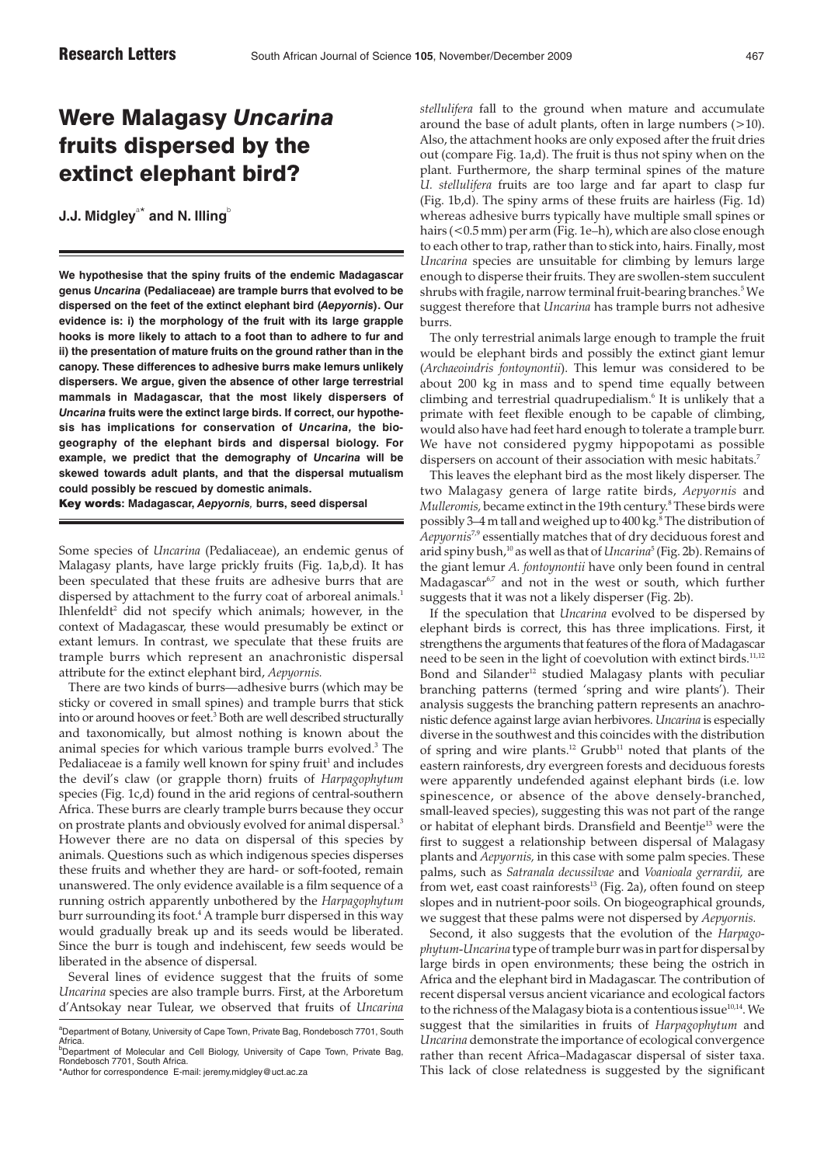## Were Malagasy *Uncarina* fruits dispersed by the extinct elephant bird?

**J.J. Midgley** $^{\text{a}^\star}$  **and N. Illing** $^{\text{o}}$ 

**We hypothesise that the spiny fruits of the endemic Madagascar genus** *Uncarina* **(Pedaliaceae) are trample burrs that evolved to be dispersed on the feet of the extinct elephant bird (***Aepyornis***). Our evidence is: i) the morphology of the fruit with its large grapple hooks is more likely to attach to a foot than to adhere to fur and ii) the presentation of mature fruits on the ground rather than in the canopy. These differences to adhesive burrs make lemurs unlikely dispersers. We argue, given the absence of other large terrestrial mammals in Madagascar, that the most likely dispersers of** *Uncarina* **fruits were the extinct large birds. If correct, our hypothesis has implications for conservation of** *Uncarina,* **the biogeography of the elephant birds and dispersal biology. For example, we predict that the demography of** *Uncarina* **will be skewed towards adult plants, and that the dispersal mutualism could possibly be rescued by domestic animals.**

Key words**: Madagascar,** *Aepyornis,* **burrs, seed dispersal**

Some species of *Uncarina* (Pedaliaceae), an endemic genus of Malagasy plants, have large prickly fruits (Fig. 1a,b,d). It has been speculated that these fruits are adhesive burrs that are dispersed by attachment to the furry coat of arboreal animals.<sup>1</sup> Ihlenfeldt<sup>2</sup> did not specify which animals; however, in the context of Madagascar, these would presumably be extinct or extant lemurs. In contrast, we speculate that these fruits are trample burrs which represent an anachronistic dispersal attribute for the extinct elephant bird, *Aepyornis.*

There are two kinds of burrs—adhesive burrs (which may be sticky or covered in small spines) and trample burrs that stick into or around hooves or feet.<sup>3</sup> Both are well described structurally and taxonomically, but almost nothing is known about the animal species for which various trample burrs evolved.<sup>3</sup> The Pedaliaceae is a family well known for spiny fruit<sup>1</sup> and includes the devil's claw (or grapple thorn) fruits of *Harpagophytum* species (Fig. 1c,d) found in the arid regions of central-southern Africa. These burrs are clearly trample burrs because they occur on prostrate plants and obviously evolved for animal dispersal.<sup>3</sup> However there are no data on dispersal of this species by animals. Questions such as which indigenous species disperses these fruits and whether they are hard- or soft-footed, remain unanswered. The only evidence available is a film sequence of a running ostrich apparently unbothered by the *Harpagophytum* burr surrounding its foot.<sup>4</sup> A trample burr dispersed in this way would gradually break up and its seeds would be liberated. Since the burr is tough and indehiscent, few seeds would be liberated in the absence of dispersal.

Several lines of evidence suggest that the fruits of some *Uncarina* species are also trample burrs. First, at the Arboretum d'Antsokay near Tulear, we observed that fruits of *Uncarina* *stellulifera* fall to the ground when mature and accumulate around the base of adult plants, often in large numbers (>10). Also, the attachment hooks are only exposed after the fruit dries out (compare Fig. 1a,d). The fruit is thus not spiny when on the plant. Furthermore, the sharp terminal spines of the mature *U. stellulifera* fruits are too large and far apart to clasp fur (Fig. 1b,d). The spiny arms of these fruits are hairless (Fig. 1d) whereas adhesive burrs typically have multiple small spines or hairs (<0.5 mm) per arm (Fig. 1e–h), which are also close enough to each other to trap, rather than to stick into, hairs. Finally, most *Uncarina* species are unsuitable for climbing by lemurs large enough to disperse their fruits. They are swollen-stem succulent shrubs with fragile, narrow terminal fruit-bearing branches.<sup>5</sup> We suggest therefore that *Uncarina* has trample burrs not adhesive burrs.

The only terrestrial animals large enough to trample the fruit would be elephant birds and possibly the extinct giant lemur (*Archaeoindris fontoynontii*). This lemur was considered to be about 200 kg in mass and to spend time equally between climbing and terrestrial quadrupedialism.6 It is unlikely that a primate with feet flexible enough to be capable of climbing, would also have had feet hard enough to tolerate a trample burr. We have not considered pygmy hippopotami as possible dispersers on account of their association with mesic habitats.<sup>7</sup>

This leaves the elephant bird as the most likely disperser. The two Malagasy genera of large ratite birds, *Aepyornis* and *Mulleromis,* became extinct in the 19th century.8 These birds were possibly 3-4 m tall and weighed up to 400 kg.<sup>8</sup> The distribution of *Aepyornis*7,9 essentially matches that of dry deciduous forest and arid spiny bush,<sup>10</sup> as well as that of *Uncarina*<sup>5</sup> (Fig. 2b). Remains of the giant lemur *A. fontoynontii* have only been found in central Madagascar<sup>6,7</sup> and not in the west or south, which further suggests that it was not a likely disperser (Fig. 2b).

If the speculation that *Uncarina* evolved to be dispersed by elephant birds is correct, this has three implications. First, it strengthens the arguments that features of the flora of Madagascar need to be seen in the light of coevolution with extinct birds.<sup>11,12</sup> Bond and Silander<sup>12</sup> studied Malagasy plants with peculiar branching patterns (termed 'spring and wire plants'). Their analysis suggests the branching pattern represents an anachronistic defence against large avian herbivores. *Uncarina* is especially diverse in the southwest and this coincides with the distribution of spring and wire plants.<sup>12</sup> Grubb<sup>11</sup> noted that plants of the eastern rainforests, dry evergreen forests and deciduous forests were apparently undefended against elephant birds (i.e. low spinescence, or absence of the above densely-branched, small-leaved species), suggesting this was not part of the range or habitat of elephant birds. Dransfield and Beentje13 were the first to suggest a relationship between dispersal of Malagasy plants and *Aepyornis,* in this case with some palm species. These palms, such as *Satranala decussilvae* and *Voanioala gerrardii,* are from wet, east coast rainforests $^{13}$  (Fig. 2a), often found on steep slopes and in nutrient-poor soils. On biogeographical grounds, we suggest that these palms were not dispersed by *Aepyornis.*

Second, it also suggests that the evolution of the *Harpagophytum*-*Uncarina* type of trample burr was in part for dispersal by large birds in open environments; these being the ostrich in Africa and the elephant bird in Madagascar. The contribution of recent dispersal versus ancient vicariance and ecological factors to the richness of the Malagasy biota is a contentious issue<sup>10,14</sup>. We suggest that the similarities in fruits of *Harpagophytum* and *Uncarina* demonstrate the importance of ecological convergence rather than recent Africa–Madagascar dispersal of sister taxa. This lack of close relatedness is suggested by the significant

<sup>&</sup>lt;sup>a</sup>Department of Botany, University of Cape Town, Private Bag, Rondebosch 7701, South Africa.<br><sup>b</sup>Department of Molecular and Cell Biology, University of Cape Town, Private Bag,

Rondebosch 7701, South Africa.

<sup>\*</sup>Author for correspondence E-mail: jeremy.midgley@uct.ac.za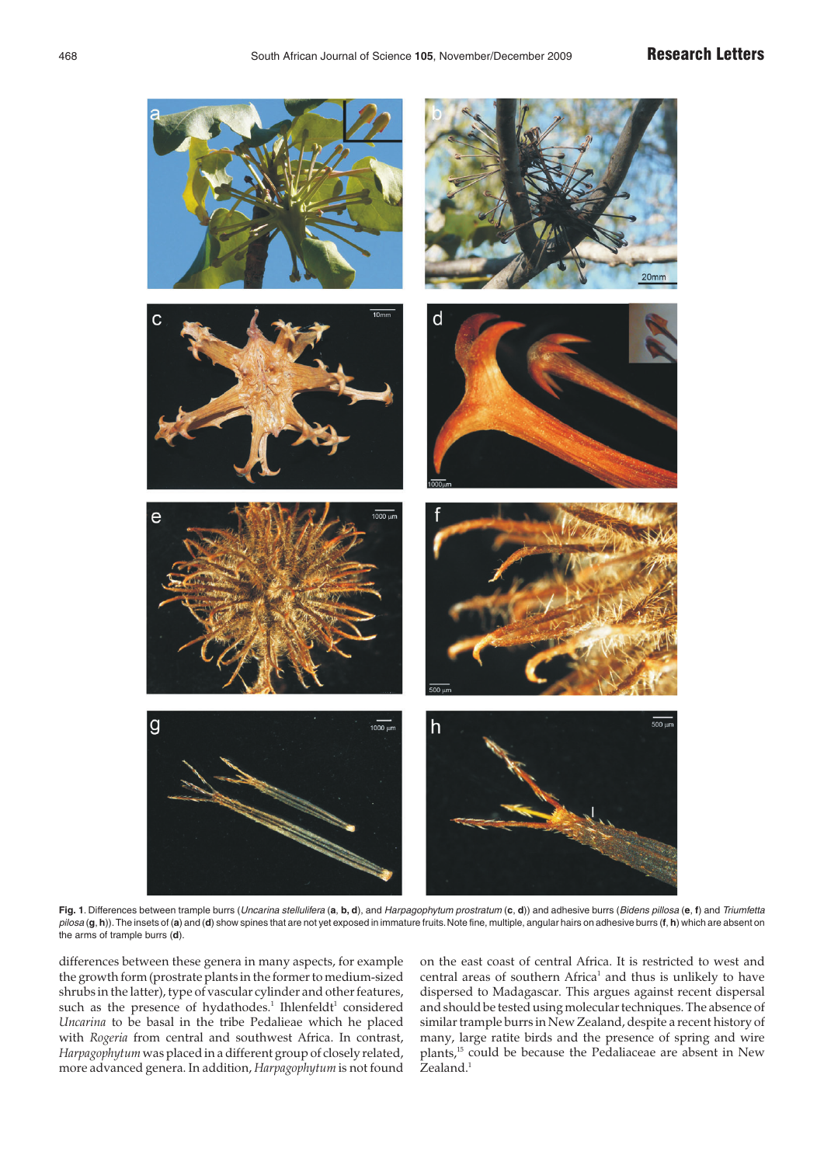

**Fig. 1**. Differences between trample burrs (Uncarina stellulifera (**a**, **b, d**), and Harpagophytum prostratum (**c**, **d**)) and adhesive burrs (Bidens pillosa (**e**, **f**) and Triumfetta pilosa (**g**, **h**)).The insets of (**a**) and (**d**) show spines that are not yet exposed in immature fruits.Note fine, multiple, angular hairs on adhesive burrs (**f**, **h**) which are absent on the arms of trample burrs (**d**).

differences between these genera in many aspects, for example the growth form (prostrate plants in the former to medium-sized shrubs in the latter), type of vascular cylinder and other features, such as the presence of hydathodes.<sup>1</sup> Ihlenfeldt<sup>1</sup> considered *Uncarina* to be basal in the tribe Pedalieae which he placed with *Rogeria* from central and southwest Africa. In contrast, *Harpagophytum* was placed in a different group of closely related, more advanced genera. In addition, *Harpagophytum* is not found on the east coast of central Africa. It is restricted to west and central areas of southern Africa<sup>1</sup> and thus is unlikely to have dispersed to Madagascar. This argues against recent dispersal and should be tested using molecular techniques. The absence of similar trample burrs in New Zealand, despite a recent history of many, large ratite birds and the presence of spring and wire plants,15 could be because the Pedaliaceae are absent in New Zealand.<sup>1</sup>